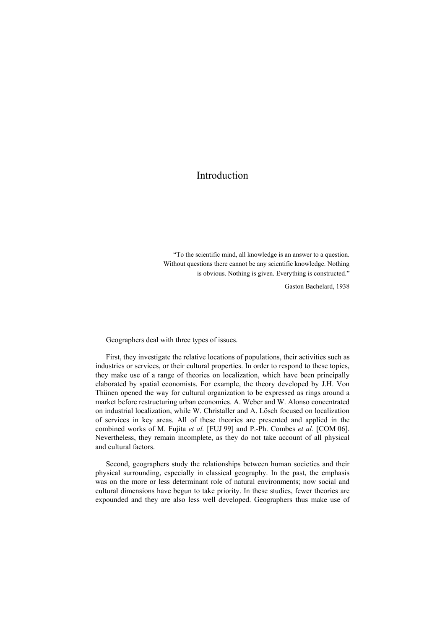## Introduction

"To the scientific mind, all knowledge is an answer to a question. Without questions there cannot be any scientific knowledge. Nothing is obvious. Nothing is given. Everything is constructed."

Gaston Bachelard, 1938

Geographers deal with three types of issues.

First, they investigate the relative locations of populations, their activities such as industries or services, or their cultural properties. In order to respond to these topics, they make use of a range of theories on localization, which have been principally elaborated by spatial economists. For example, the theory developed by J.H. Von Thünen opened the way for cultural organization to be expressed as rings around a market before restructuring urban economies. A. Weber and W. Alonso concentrated on industrial localization, while W. Christaller and A. Lösch focused on localization of services in key areas. All of these theories are presented and applied in the combined works of M. Fujita *et al.* [FUJ 99] and P.-Ph. Combes *et al.* [COM 06]. Nevertheless, they remain incomplete, as they do not take account of all physical and cultural factors.

Second, geographers study the relationships between human societies and their physical surrounding, especially in classical geography. In the past, the emphasis was on the more or less determinant role of natural environments; now social and cultural dimensions have begun to take priority. In these studies, fewer theories are expounded and they are also less well developed. Geographers thus make use of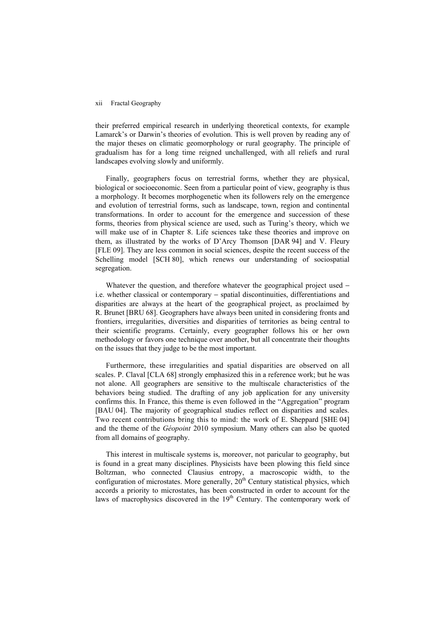## xii Fractal Geography

their preferred empirical research in underlying theoretical contexts, for example Lamarck's or Darwin's theories of evolution. This is well proven by reading any of the major theses on climatic geomorphology or rural geography. The principle of gradualism has for a long time reigned unchallenged, with all reliefs and rural landscapes evolving slowly and uniformly.

Finally, geographers focus on terrestrial forms, whether they are physical, biological or socioeconomic. Seen from a particular point of view, geography is thus a morphology. It becomes morphogenetic when its followers rely on the emergence and evolution of terrestrial forms, such as landscape, town, region and continental transformations. In order to account for the emergence and succession of these forms, theories from physical science are used, such as Turing's theory, which we will make use of in Chapter 8. Life sciences take these theories and improve on them, as illustrated by the works of D'Arcy Thomson [DAR 94] and V. Fleury [FLE 09]. They are less common in social sciences, despite the recent success of the Schelling model [SCH 80], which renews our understanding of sociospatial segregation.

Whatever the question, and therefore whatever the geographical project used − i.e. whether classical or contemporary − spatial discontinuities, differentiations and disparities are always at the heart of the geographical project, as proclaimed by R. Brunet [BRU 68]. Geographers have always been united in considering fronts and frontiers, irregularities, diversities and disparities of territories as being central to their scientific programs. Certainly, every geographer follows his or her own methodology or favors one technique over another, but all concentrate their thoughts on the issues that they judge to be the most important.

Furthermore, these irregularities and spatial disparities are observed on all scales. P. Claval [CLA 68] strongly emphasized this in a reference work; but he was not alone. All geographers are sensitive to the multiscale characteristics of the behaviors being studied. The drafting of any job application for any university confirms this. In France, this theme is even followed in the "Aggregation" program [BAU 04]. The majority of geographical studies reflect on disparities and scales. Two recent contributions bring this to mind: the work of E. Sheppard [SHE 04] and the theme of the *Géopoint* 2010 symposium. Many others can also be quoted from all domains of geography.

This interest in multiscale systems is, moreover, not paricular to geography, but is found in a great many disciplines. Physicists have been plowing this field since Boltzman, who connected Clausius entropy, a macroscopic width, to the configuration of microstates. More generally,  $20<sup>th</sup>$  Century statistical physics, which accords a priority to microstates, has been constructed in order to account for the laws of macrophysics discovered in the 19<sup>th</sup> Century. The contemporary work of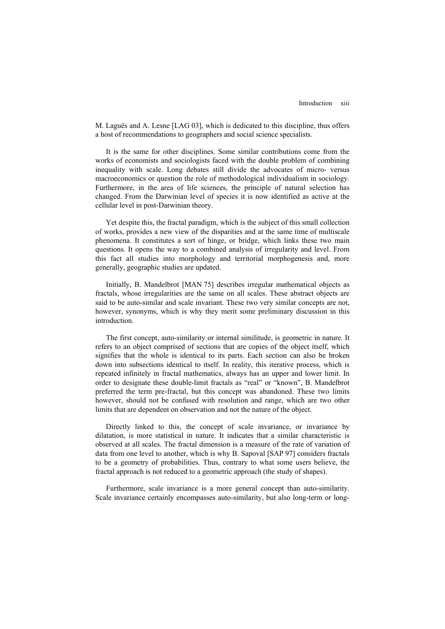M. Laguës and A. Lesne [LAG 03], which is dedicated to this discipline, thus offers a host of recommendations to geographers and social science specialists.

It is the same for other disciplines. Some similar contributions come from the works of economists and sociologists faced with the double problem of combining inequality with scale. Long debates still divide the advocates of micro- versus macroeconomics or question the role of methodological individualism in sociology. Furthermore, in the area of life sciences, the principle of natural selection has changed. From the Darwinian level of species it is now identified as active at the cellular level in post-Darwinian theory.

Yet despite this, the fractal paradigm, which is the subject of this small collection of works, provides a new view of the disparities and at the same time of multiscale phenomena. It constitutes a sort of hinge, or bridge, which links these two main questions. It opens the way to a combined analysis of irregularity and level. From this fact all studies into morphology and territorial morphogenesis and, more generally, geographic studies are updated.

Initially, B. Mandelbrot [MAN 75] describes irregular mathematical objects as fractals, whose irregularities are the same on all scales. These abstract objects are said to be auto-similar and scale invariant. These two very similar concepts are not, however, synonyms, which is why they merit some preliminary discussion in this introduction.

The first concept, auto-similarity or internal similitude, is geometric in nature. It refers to an object comprised of sections that are copies of the object itself, which signifies that the whole is identical to its parts. Each section can also be broken down into subsections identical to itself. In reality, this iterative process, which is repeated infinitely in fractal mathematics, always has an upper and lower limit. In order to designate these double-limit fractals as "real" or "known", B. Mandelbrot preferred the term pre-fractal, but this concept was abandoned. These two limits however, should not be confused with resolution and range, which are two other limits that are dependent on observation and not the nature of the object.

Directly linked to this, the concept of scale invariance, or invariance by dilatation, is more statistical in nature. It indicates that a similar characteristic is observed at all scales. The fractal dimension is a measure of the rate of variation of data from one level to another, which is why B. Sapoval [SAP 97] considers fractals to be a geometry of probabilities. Thus, contrary to what some users believe, the fractal approach is not reduced to a geometric approach (the study of shapes).

Furthermore, scale invariance is a more general concept than auto-similarity. Scale invariance certainly encompasses auto-similarity, but also long-term or long-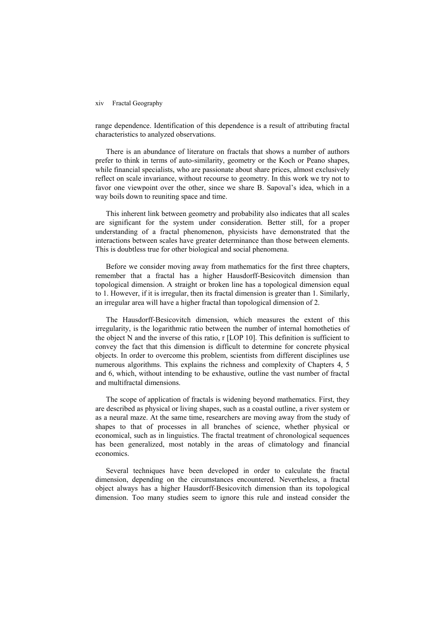## xiv Fractal Geography

range dependence. Identification of this dependence is a result of attributing fractal characteristics to analyzed observations.

There is an abundance of literature on fractals that shows a number of authors prefer to think in terms of auto-similarity, geometry or the Koch or Peano shapes, while financial specialists, who are passionate about share prices, almost exclusively reflect on scale invariance, without recourse to geometry. In this work we try not to favor one viewpoint over the other, since we share B. Sapoval's idea, which in a way boils down to reuniting space and time.

This inherent link between geometry and probability also indicates that all scales are significant for the system under consideration. Better still, for a proper understanding of a fractal phenomenon, physicists have demonstrated that the interactions between scales have greater determinance than those between elements. This is doubtless true for other biological and social phenomena.

Before we consider moving away from mathematics for the first three chapters, remember that a fractal has a higher Hausdorff-Besicovitch dimension than topological dimension. A straight or broken line has a topological dimension equal to 1. However, if it is irregular, then its fractal dimension is greater than 1. Similarly, an irregular area will have a higher fractal than topological dimension of 2.

The Hausdorff-Besicovitch dimension, which measures the extent of this irregularity, is the logarithmic ratio between the number of internal homotheties of the object N and the inverse of this ratio, r [LOP 10]. This definition is sufficient to convey the fact that this dimension is difficult to determine for concrete physical objects. In order to overcome this problem, scientists from different disciplines use numerous algorithms. This explains the richness and complexity of Chapters 4, 5 and 6, which, without intending to be exhaustive, outline the vast number of fractal and multifractal dimensions.

The scope of application of fractals is widening beyond mathematics. First, they are described as physical or living shapes, such as a coastal outline, a river system or as a neural maze. At the same time, researchers are moving away from the study of shapes to that of processes in all branches of science, whether physical or economical, such as in linguistics. The fractal treatment of chronological sequences has been generalized, most notably in the areas of climatology and financial economics.

Several techniques have been developed in order to calculate the fractal dimension, depending on the circumstances encountered. Nevertheless, a fractal object always has a higher Hausdorff-Besicovitch dimension than its topological dimension. Too many studies seem to ignore this rule and instead consider the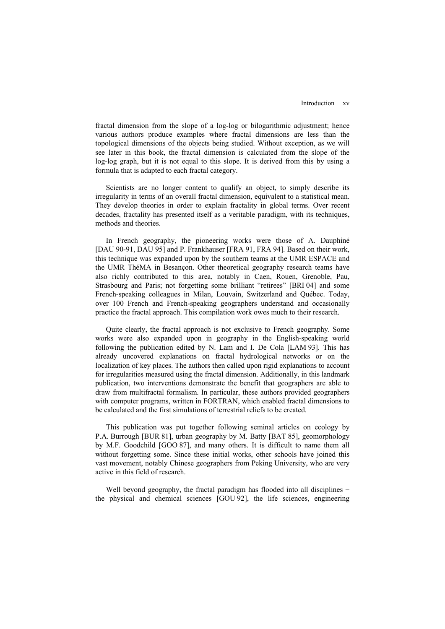fractal dimension from the slope of a log-log or bilogarithmic adjustment; hence various authors produce examples where fractal dimensions are less than the topological dimensions of the objects being studied. Without exception, as we will see later in this book, the fractal dimension is calculated from the slope of the log-log graph, but it is not equal to this slope. It is derived from this by using a formula that is adapted to each fractal category.

Scientists are no longer content to qualify an object, to simply describe its irregularity in terms of an overall fractal dimension, equivalent to a statistical mean. They develop theories in order to explain fractality in global terms. Over recent decades, fractality has presented itself as a veritable paradigm, with its techniques, methods and theories.

In French geography, the pioneering works were those of A. Dauphiné [DAU 90-91, DAU 95] and P. Frankhauser [FRA 91, FRA 94]. Based on their work, this technique was expanded upon by the southern teams at the UMR ESPACE and the UMR ThéMA in Besançon. Other theoretical geography research teams have also richly contributed to this area, notably in Caen, Rouen, Grenoble, Pau, Strasbourg and Paris; not forgetting some brilliant "retirees" [BRI 04] and some French-speaking colleagues in Milan, Louvain, Switzerland and Québec. Today, over 100 French and French-speaking geographers understand and occasionally practice the fractal approach. This compilation work owes much to their research.

Quite clearly, the fractal approach is not exclusive to French geography. Some works were also expanded upon in geography in the English-speaking world following the publication edited by N. Lam and I. De Cola [LAM 93]. This has already uncovered explanations on fractal hydrological networks or on the localization of key places. The authors then called upon rigid explanations to account for irregularities measured using the fractal dimension. Additionally, in this landmark publication, two interventions demonstrate the benefit that geographers are able to draw from multifractal formalism. In particular, these authors provided geographers with computer programs, written in FORTRAN, which enabled fractal dimensions to be calculated and the first simulations of terrestrial reliefs to be created.

This publication was put together following seminal articles on ecology by P.A. Burrough [BUR 81], urban geography by M. Batty [BAT 85], geomorphology by M.F. Goodchild [GOO 87], and many others. It is difficult to name them all without forgetting some. Since these initial works, other schools have joined this vast movement, notably Chinese geographers from Peking University, who are very active in this field of research.

Well beyond geography, the fractal paradigm has flooded into all disciplines − the physical and chemical sciences [GOU 92], the life sciences, engineering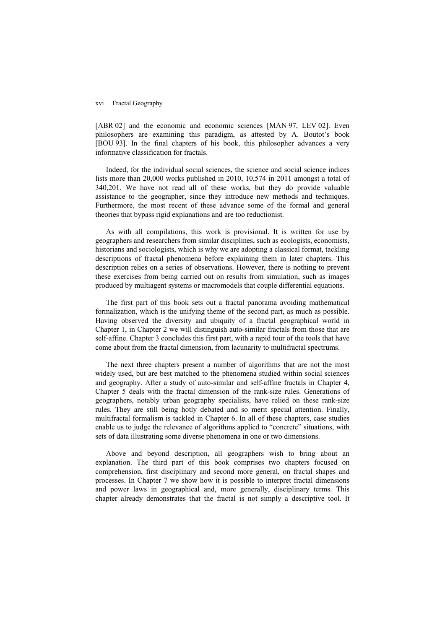## xvi Fractal Geography

[ABR 02] and the economic and economic sciences [MAN 97, LEV 02]. Even philosophers are examining this paradigm, as attested by A. Boutot's book [BOU 93]. In the final chapters of his book, this philosopher advances a very informative classification for fractals.

Indeed, for the individual social sciences, the science and social science indices lists more than 20,000 works published in 2010, 10,574 in 2011 amongst a total of 340,201. We have not read all of these works, but they do provide valuable assistance to the geographer, since they introduce new methods and techniques. Furthermore, the most recent of these advance some of the formal and general theories that bypass rigid explanations and are too reductionist.

As with all compilations, this work is provisional. It is written for use by geographers and researchers from similar disciplines, such as ecologists, economists, historians and sociologists, which is why we are adopting a classical format, tackling descriptions of fractal phenomena before explaining them in later chapters. This description relies on a series of observations. However, there is nothing to prevent these exercises from being carried out on results from simulation, such as images produced by multiagent systems or macromodels that couple differential equations.

The first part of this book sets out a fractal panorama avoiding mathematical formalization, which is the unifying theme of the second part, as much as possible. Having observed the diversity and ubiquity of a fractal geographical world in Chapter 1, in Chapter 2 we will distinguish auto-similar fractals from those that are self-affine. Chapter 3 concludes this first part, with a rapid tour of the tools that have come about from the fractal dimension, from lacunarity to multifractal spectrums.

The next three chapters present a number of algorithms that are not the most widely used, but are best matched to the phenomena studied within social sciences and geography. After a study of auto-similar and self-affine fractals in Chapter 4, Chapter 5 deals with the fractal dimension of the rank-size rules. Generations of geographers, notably urban geography specialists, have relied on these rank-size rules. They are still being hotly debated and so merit special attention. Finally, multifractal formalism is tackled in Chapter 6. In all of these chapters, case studies enable us to judge the relevance of algorithms applied to "concrete" situations, with sets of data illustrating some diverse phenomena in one or two dimensions.

Above and beyond description, all geographers wish to bring about an explanation. The third part of this book comprises two chapters focused on comprehension, first disciplinary and second more general, on fractal shapes and processes. In Chapter 7 we show how it is possible to interpret fractal dimensions and power laws in geographical and, more generally, disciplinary terms. This chapter already demonstrates that the fractal is not simply a descriptive tool. It